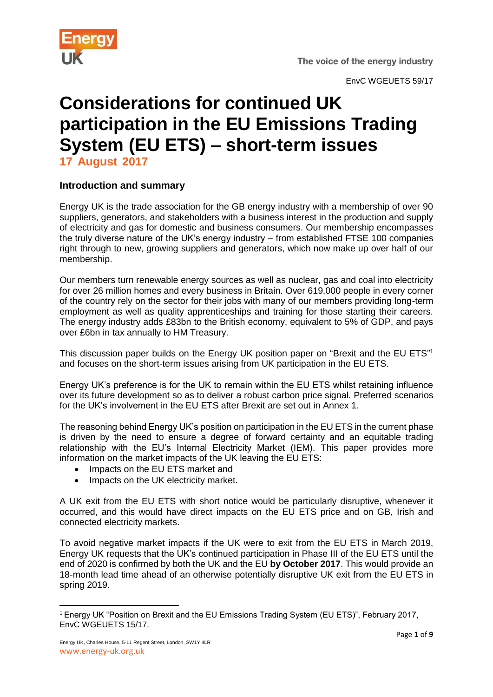

EnvC WGEUETS 59/17

# **Considerations for continued UK participation in the EU Emissions Trading System (EU ETS) – short-term issues**

**17 August 2017**

## **Introduction and summary**

Energy UK is the trade association for the GB energy industry with a membership of over 90 suppliers, generators, and stakeholders with a business interest in the production and supply of electricity and gas for domestic and business consumers. Our membership encompasses the truly diverse nature of the UK's energy industry – from established FTSE 100 companies right through to new, growing suppliers and generators, which now make up over half of our membership.

Our members turn renewable energy sources as well as nuclear, gas and coal into electricity for over 26 million homes and every business in Britain. Over 619,000 people in every corner of the country rely on the sector for their jobs with many of our members providing long-term employment as well as quality apprenticeships and training for those starting their careers. The energy industry adds £83bn to the British economy, equivalent to 5% of GDP, and pays over £6bn in tax annually to HM Treasury.

This discussion paper builds on the Energy UK position paper on "Brexit and the EU ETS"<sup>1</sup> and focuses on the short-term issues arising from UK participation in the EU ETS.

Energy UK's preference is for the UK to remain within the EU ETS whilst retaining influence over its future development so as to deliver a robust carbon price signal. Preferred scenarios for the UK's involvement in the EU ETS after Brexit are set out in Annex 1.

The reasoning behind Energy UK's position on participation in the EU ETS in the current phase is driven by the need to ensure a degree of forward certainty and an equitable trading relationship with the EU's Internal Electricity Market (IEM). This paper provides more information on the market impacts of the UK leaving the EU ETS:

- Impacts on the EU ETS market and
- Impacts on the UK electricity market.

A UK exit from the EU ETS with short notice would be particularly disruptive, whenever it occurred, and this would have direct impacts on the EU ETS price and on GB, Irish and connected electricity markets.

To avoid negative market impacts if the UK were to exit from the EU ETS in March 2019, Energy UK requests that the UK's continued participation in Phase III of the EU ETS until the end of 2020 is confirmed by both the UK and the EU **by October 2017**. This would provide an 18-month lead time ahead of an otherwise potentially disruptive UK exit from the EU ETS in spring 2019.

**<sup>.</sup>** <sup>1</sup> Energy UK "Position on Brexit and the EU Emissions Trading System (EU ETS)", February 2017, EnvC WGEUETS 15/17.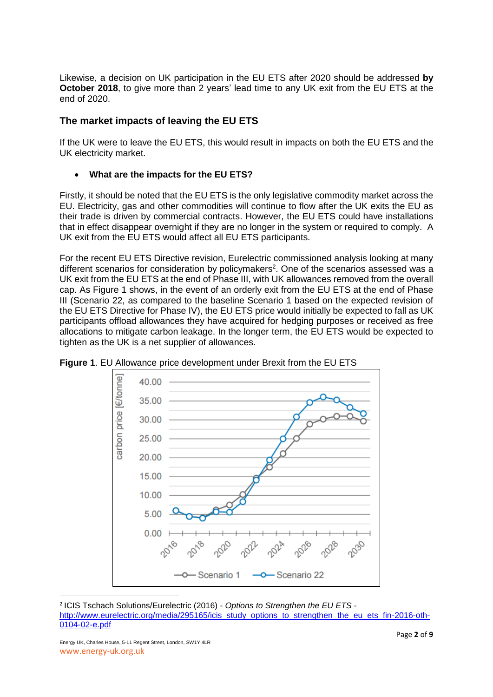Likewise, a decision on UK participation in the EU ETS after 2020 should be addressed **by October 2018**, to give more than 2 years' lead time to any UK exit from the EU ETS at the end of 2020.

## **The market impacts of leaving the EU ETS**

If the UK were to leave the EU ETS, this would result in impacts on both the EU ETS and the UK electricity market.

## **What are the impacts for the EU ETS?**

Firstly, it should be noted that the EU ETS is the only legislative commodity market across the EU. Electricity, gas and other commodities will continue to flow after the UK exits the EU as their trade is driven by commercial contracts. However, the EU ETS could have installations that in effect disappear overnight if they are no longer in the system or required to comply. A UK exit from the EU ETS would affect all EU ETS participants.

For the recent EU ETS Directive revision, Eurelectric commissioned analysis looking at many different scenarios for consideration by policymakers<sup>2</sup>. One of the scenarios assessed was a UK exit from the EU ETS at the end of Phase III, with UK allowances removed from the overall cap. As Figure 1 shows, in the event of an orderly exit from the EU ETS at the end of Phase III (Scenario 22, as compared to the baseline Scenario 1 based on the expected revision of the EU ETS Directive for Phase IV), the EU ETS price would initially be expected to fall as UK participants offload allowances they have acquired for hedging purposes or received as free allocations to mitigate carbon leakage. In the longer term, the EU ETS would be expected to tighten as the UK is a net supplier of allowances.



**Figure 1**. EU Allowance price development under Brexit from the EU ETS

1

<sup>2</sup> ICIS Tschach Solutions/Eurelectric (2016) - *Options to Strengthen the EU ETS* [http://www.eurelectric.org/media/295165/icis\\_study\\_options\\_to\\_strengthen\\_the\\_eu\\_ets\\_fin-2016-oth-](http://www.eurelectric.org/media/295165/icis_study_options_to_strengthen_the_eu_ets_fin-2016-oth-0104-02-e.pdf)[0104-02-e.pdf](http://www.eurelectric.org/media/295165/icis_study_options_to_strengthen_the_eu_ets_fin-2016-oth-0104-02-e.pdf)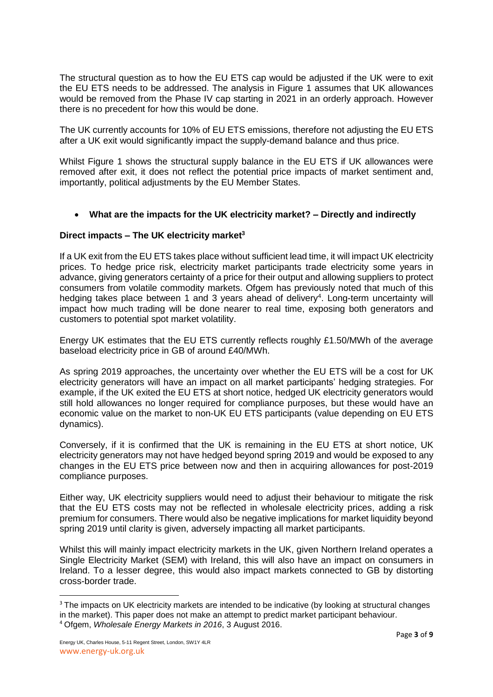The structural question as to how the EU ETS cap would be adjusted if the UK were to exit the EU ETS needs to be addressed. The analysis in Figure 1 assumes that UK allowances would be removed from the Phase IV cap starting in 2021 in an orderly approach. However there is no precedent for how this would be done.

The UK currently accounts for 10% of EU ETS emissions, therefore not adjusting the EU ETS after a UK exit would significantly impact the supply-demand balance and thus price.

Whilst Figure 1 shows the structural supply balance in the EU ETS if UK allowances were removed after exit, it does not reflect the potential price impacts of market sentiment and, importantly, political adjustments by the EU Member States.

#### **What are the impacts for the UK electricity market? – Directly and indirectly**

#### **Direct impacts – The UK electricity market<sup>3</sup>**

If a UK exit from the EU ETS takes place without sufficient lead time, it will impact UK electricity prices. To hedge price risk, electricity market participants trade electricity some years in advance, giving generators certainty of a price for their output and allowing suppliers to protect consumers from volatile commodity markets. Ofgem has previously noted that much of this hedging takes place between 1 and 3 years ahead of delivery<sup>4</sup>. Long-term uncertainty will impact how much trading will be done nearer to real time, exposing both generators and customers to potential spot market volatility.

Energy UK estimates that the EU ETS currently reflects roughly £1.50/MWh of the average baseload electricity price in GB of around £40/MWh.

As spring 2019 approaches, the uncertainty over whether the EU ETS will be a cost for UK electricity generators will have an impact on all market participants' hedging strategies. For example, if the UK exited the EU ETS at short notice, hedged UK electricity generators would still hold allowances no longer required for compliance purposes, but these would have an economic value on the market to non-UK EU ETS participants (value depending on EU ETS dynamics).

Conversely, if it is confirmed that the UK is remaining in the EU ETS at short notice, UK electricity generators may not have hedged beyond spring 2019 and would be exposed to any changes in the EU ETS price between now and then in acquiring allowances for post-2019 compliance purposes.

Either way, UK electricity suppliers would need to adjust their behaviour to mitigate the risk that the EU ETS costs may not be reflected in wholesale electricity prices, adding a risk premium for consumers. There would also be negative implications for market liquidity beyond spring 2019 until clarity is given, adversely impacting all market participants.

Whilst this will mainly impact electricity markets in the UK, given Northern Ireland operates a Single Electricity Market (SEM) with Ireland, this will also have an impact on consumers in Ireland. To a lesser degree, this would also impact markets connected to GB by distorting cross-border trade.

 $\overline{a}$ 

<sup>&</sup>lt;sup>3</sup> The impacts on UK electricity markets are intended to be indicative (by looking at structural changes in the market). This paper does not make an attempt to predict market participant behaviour. <sup>4</sup> Ofgem, *Wholesale Energy Markets in 2016*, 3 August 2016.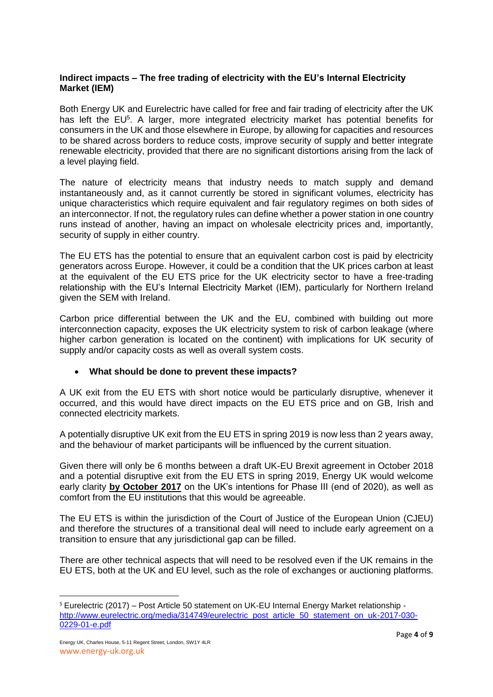#### **Indirect impacts – The free trading of electricity with the EU's Internal Electricity Market (IEM)**

Both Energy UK and Eurelectric have called for free and fair trading of electricity after the UK has left the EU<sup>5</sup>. A larger, more integrated electricity market has potential benefits for consumers in the UK and those elsewhere in Europe, by allowing for capacities and resources to be shared across borders to reduce costs, improve security of supply and better integrate renewable electricity, provided that there are no significant distortions arising from the lack of a level playing field.

The nature of electricity means that industry needs to match supply and demand instantaneously and, as it cannot currently be stored in significant volumes, electricity has unique characteristics which require equivalent and fair regulatory regimes on both sides of an interconnector. If not, the regulatory rules can define whether a power station in one country runs instead of another, having an impact on wholesale electricity prices and, importantly, security of supply in either country.

The EU ETS has the potential to ensure that an equivalent carbon cost is paid by electricity generators across Europe. However, it could be a condition that the UK prices carbon at least at the equivalent of the EU ETS price for the UK electricity sector to have a free-trading relationship with the EU's Internal Electricity Market (IEM), particularly for Northern Ireland given the SEM with Ireland.

Carbon price differential between the UK and the EU, combined with building out more interconnection capacity, exposes the UK electricity system to risk of carbon leakage (where higher carbon generation is located on the continent) with implications for UK security of supply and/or capacity costs as well as overall system costs.

#### **What should be done to prevent these impacts?**

A UK exit from the EU ETS with short notice would be particularly disruptive, whenever it occurred, and this would have direct impacts on the EU ETS price and on GB, Irish and connected electricity markets.

A potentially disruptive UK exit from the EU ETS in spring 2019 is now less than 2 years away, and the behaviour of market participants will be influenced by the current situation.

Given there will only be 6 months between a draft UK-EU Brexit agreement in October 2018 and a potential disruptive exit from the EU ETS in spring 2019, Energy UK would welcome early clarity **by October 2017** on the UK's intentions for Phase III (end of 2020), as well as comfort from the EU institutions that this would be agreeable.

The EU ETS is within the jurisdiction of the Court of Justice of the European Union (CJEU) and therefore the structures of a transitional deal will need to include early agreement on a transition to ensure that any jurisdictional gap can be filled.

There are other technical aspects that will need to be resolved even if the UK remains in the EU ETS, both at the UK and EU level, such as the role of exchanges or auctioning platforms.

1

<sup>5</sup> Eurelectric (2017) – Post Article 50 statement on UK-EU Internal Energy Market relationship [http://www.eurelectric.org/media/314749/eurelectric\\_post\\_article\\_50\\_statement\\_on\\_uk-2017-030-](http://www.eurelectric.org/media/314749/eurelectric_post_article_50_statement_on_uk-2017-030-0229-01-e.pdf) [0229-01-e.pdf](http://www.eurelectric.org/media/314749/eurelectric_post_article_50_statement_on_uk-2017-030-0229-01-e.pdf)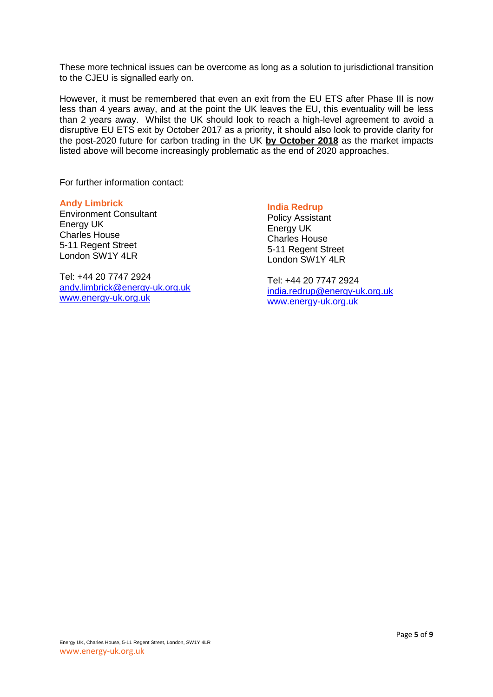These more technical issues can be overcome as long as a solution to jurisdictional transition to the CJEU is signalled early on.

However, it must be remembered that even an exit from the EU ETS after Phase III is now less than 4 years away, and at the point the UK leaves the EU, this eventuality will be less than 2 years away. Whilst the UK should look to reach a high-level agreement to avoid a disruptive EU ETS exit by October 2017 as a priority, it should also look to provide clarity for the post-2020 future for carbon trading in the UK **by October 2018** as the market impacts listed above will become increasingly problematic as the end of 2020 approaches.

For further information contact:

#### **Andy Limbrick** Environment Consultant Energy UK Charles House 5-11 Regent Street London SW1Y 4LR

Tel: +44 20 7747 2924 [andy.limbrick@energy-uk.org.uk](mailto:andy.limbrick@energy-uk.org.uk) [www.energy-uk.org.uk](http://www.energy-uk.org.uk/)

## **India Redrup**

Policy Assistant Energy UK Charles House 5-11 Regent Street London SW1Y 4LR

Tel: +44 20 7747 2924 [india.redrup@energy-uk.org.uk](mailto:india.redrup@energy-uk.org.uk) [www.energy-uk.org.uk](http://www.energy-uk.org.uk/)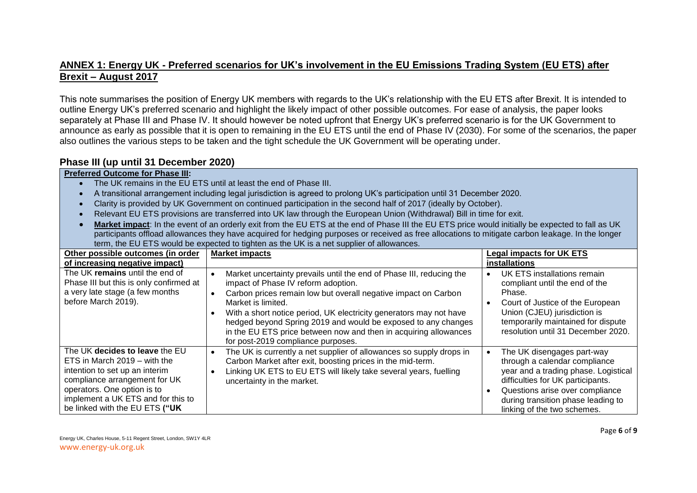## **ANNEX 1: Energy UK - Preferred scenarios for UK's involvement in the EU Emissions Trading System (EU ETS) after Brexit – August 2017**

This note summarises the position of Energy UK members with regards to the UK's relationship with the EU ETS after Brexit. It is intended to outline Energy UK's preferred scenario and highlight the likely impact of other possible outcomes. For ease of analysis, the paper looks separately at Phase III and Phase IV. It should however be noted upfront that Energy UK's preferred scenario is for the UK Government to announce as early as possible that it is open to remaining in the EU ETS until the end of Phase IV (2030). For some of the scenarios, the paper also outlines the various steps to be taken and the tight schedule the UK Government will be operating under.

#### **Phase III (up until 31 December 2020)**

#### **Preferred Outcome for Phase III:**

- The UK remains in the EU ETS until at least the end of Phase III.
- A transitional arrangement including legal jurisdiction is agreed to prolong UK's participation until 31 December 2020.
- Clarity is provided by UK Government on continued participation in the second half of 2017 (ideally by October).
- Relevant EU ETS provisions are transferred into UK law through the European Union (Withdrawal) Bill in time for exit.
- **Market impact**: In the event of an orderly exit from the EU ETS at the end of Phase III the EU ETS price would initially be expected to fall as UK participants offload allowances they have acquired for hedging purposes or received as free allocations to mitigate carbon leakage. In the longer term, the EU ETS would be expected to tighten as the UK is a net supplier of allowances.

| Other possible outcomes (in order                                                                                                                                                                                                        | <b>Market impacts</b>                                                                                                                                                                                                                                                                                                                                                                                                                                             | <b>Legal impacts for UK ETS</b>                                                                                                                                                                                                                  |
|------------------------------------------------------------------------------------------------------------------------------------------------------------------------------------------------------------------------------------------|-------------------------------------------------------------------------------------------------------------------------------------------------------------------------------------------------------------------------------------------------------------------------------------------------------------------------------------------------------------------------------------------------------------------------------------------------------------------|--------------------------------------------------------------------------------------------------------------------------------------------------------------------------------------------------------------------------------------------------|
| of increasing negative impact)                                                                                                                                                                                                           |                                                                                                                                                                                                                                                                                                                                                                                                                                                                   | installations                                                                                                                                                                                                                                    |
| The UK remains until the end of<br>Phase III but this is only confirmed at<br>a very late stage (a few months<br>before March 2019).                                                                                                     | Market uncertainty prevails until the end of Phase III, reducing the<br>impact of Phase IV reform adoption.<br>Carbon prices remain low but overall negative impact on Carbon<br>$\bullet$<br>Market is limited.<br>With a short notice period, UK electricity generators may not have<br>hedged beyond Spring 2019 and would be exposed to any changes<br>in the EU ETS price between now and then in acquiring allowances<br>for post-2019 compliance purposes. | UK ETS installations remain<br>compliant until the end of the<br>Phase.<br>Court of Justice of the European<br>Union (CJEU) jurisdiction is<br>temporarily maintained for dispute<br>resolution until 31 December 2020.                          |
| The UK decides to leave the EU<br>ETS in March 2019 – with the<br>intention to set up an interim<br>compliance arrangement for UK<br>operators. One option is to<br>implement a UK ETS and for this to<br>be linked with the EU ETS ("UK | The UK is currently a net supplier of allowances so supply drops in<br>$\bullet$<br>Carbon Market after exit, boosting prices in the mid-term.<br>Linking UK ETS to EU ETS will likely take several years, fuelling<br>uncertainty in the market.                                                                                                                                                                                                                 | The UK disengages part-way<br>through a calendar compliance<br>year and a trading phase. Logistical<br>difficulties for UK participants.<br>Questions arise over compliance<br>during transition phase leading to<br>linking of the two schemes. |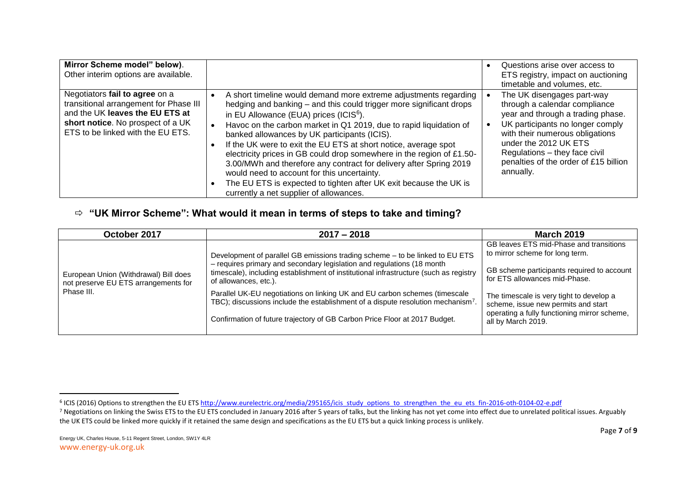| Mirror Scheme model" below).<br>Other interim options are available.                                                                                                                  |                                                                                                                                                                                                                                                                                                                                                                                                                                                                                                                                                                                                                                                                                                      | Questions arise over access to<br>ETS registry, impact on auctioning<br>timetable and volumes, etc.                                                                                                                                                                                     |
|---------------------------------------------------------------------------------------------------------------------------------------------------------------------------------------|------------------------------------------------------------------------------------------------------------------------------------------------------------------------------------------------------------------------------------------------------------------------------------------------------------------------------------------------------------------------------------------------------------------------------------------------------------------------------------------------------------------------------------------------------------------------------------------------------------------------------------------------------------------------------------------------------|-----------------------------------------------------------------------------------------------------------------------------------------------------------------------------------------------------------------------------------------------------------------------------------------|
| Negotiators fail to agree on a<br>transitional arrangement for Phase III<br>and the UK leaves the EU ETS at<br>short notice. No prospect of a UK<br>ETS to be linked with the EU ETS. | A short timeline would demand more extreme adjustments regarding<br>hedging and banking - and this could trigger more significant drops<br>in EU Allowance (EUA) prices (ICIS <sup>6</sup> ).<br>Havoc on the carbon market in Q1 2019, due to rapid liquidation of<br>banked allowances by UK participants (ICIS).<br>If the UK were to exit the EU ETS at short notice, average spot<br>electricity prices in GB could drop somewhere in the region of £1.50-<br>3.00/MWh and therefore any contract for delivery after Spring 2019<br>would need to account for this uncertainty.<br>The EU ETS is expected to tighten after UK exit because the UK is<br>currently a net supplier of allowances. | The UK disengages part-way<br>through a calendar compliance<br>year and through a trading phase.<br>UK participants no longer comply<br>with their numerous obligations<br>under the 2012 UK ETS<br>Regulations - they face civil<br>penalties of the order of £15 billion<br>annually. |

## **"UK Mirror Scheme": What would it mean in terms of steps to take and timing?**

| October 2017                                                                                | $2017 - 2018$                                                                                                                                                                            | <b>March 2019</b>                                                                                                               |
|---------------------------------------------------------------------------------------------|------------------------------------------------------------------------------------------------------------------------------------------------------------------------------------------|---------------------------------------------------------------------------------------------------------------------------------|
| European Union (Withdrawal) Bill does<br>not preserve EU ETS arrangements for<br>Phase III. | Development of parallel GB emissions trading scheme - to be linked to EU ETS                                                                                                             | GB leaves ETS mid-Phase and transitions<br>to mirror scheme for long term.                                                      |
|                                                                                             | - requires primary and secondary legislation and regulations (18 month<br>timescale), including establishment of institutional infrastructure (such as registry<br>of allowances, etc.). | GB scheme participants required to account<br>for ETS allowances mid-Phase.                                                     |
|                                                                                             | Parallel UK-EU negotiations on linking UK and EU carbon schemes (timescale<br>TBC); discussions include the establishment of a dispute resolution mechanism <sup>7</sup>                 | The timescale is very tight to develop a<br>scheme, issue new permits and start<br>operating a fully functioning mirror scheme, |
|                                                                                             | Confirmation of future trajectory of GB Carbon Price Floor at 2017 Budget.                                                                                                               | all by March 2019.                                                                                                              |

 $\overline{a}$ 

<sup>&</sup>lt;sup>6</sup> ICIS (2016) Options to strengthen the EU ET[S http://www.eurelectric.org/media/295165/icis\\_study\\_options\\_to\\_strengthen\\_the\\_eu\\_ets\\_fin-2016-oth-0104-02-e.pdf](http://www.eurelectric.org/media/295165/icis_study_options_to_strengthen_the_eu_ets_fin-2016-oth-0104-02-e.pdf)

<sup>&</sup>lt;sup>7</sup> Negotiations on linking the Swiss ETS to the EU ETS concluded in January 2016 after 5 years of talks, but the linking has not yet come into effect due to unrelated political issues. Arguably the UK ETS could be linked more quickly if it retained the same design and specifications as the EU ETS but a quick linking process is unlikely.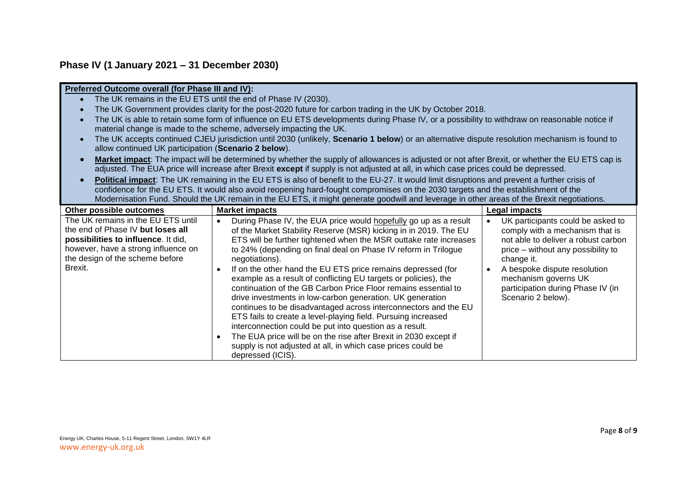## **Phase IV (1 January 2021 – 31 December 2030)**

|                                                      | Preferred Outcome overall (for Phase III and IV):                                                                                              |                                                |  |  |
|------------------------------------------------------|------------------------------------------------------------------------------------------------------------------------------------------------|------------------------------------------------|--|--|
|                                                      | The UK remains in the EU ETS until the end of Phase IV (2030).                                                                                 |                                                |  |  |
|                                                      | The UK Government provides clarity for the post-2020 future for carbon trading in the UK by October 2018.                                      |                                                |  |  |
|                                                      | The UK is able to retain some form of influence on EU ETS developments during Phase IV, or a possibility to withdraw on reasonable notice if   |                                                |  |  |
|                                                      | material change is made to the scheme, adversely impacting the UK.                                                                             |                                                |  |  |
|                                                      |                                                                                                                                                |                                                |  |  |
| allow continued UK participation (Scenario 2 below). | The UK accepts continued CJEU jurisdiction until 2030 (unlikely, Scenario 1 below) or an alternative dispute resolution mechanism is found to  |                                                |  |  |
|                                                      |                                                                                                                                                |                                                |  |  |
|                                                      | Market impact: The impact will be determined by whether the supply of allowances is adjusted or not after Brexit, or whether the EU ETS cap is |                                                |  |  |
|                                                      | adjusted. The EUA price will increase after Brexit except if supply is not adjusted at all, in which case prices could be depressed.           |                                                |  |  |
|                                                      | Political impact: The UK remaining in the EU ETS is also of benefit to the EU-27. It would limit disruptions and prevent a further crisis of   |                                                |  |  |
|                                                      | confidence for the EU ETS. It would also avoid reopening hard-fought compromises on the 2030 targets and the establishment of the              |                                                |  |  |
|                                                      | Modernisation Fund. Should the UK remain in the EU ETS, it might generate goodwill and leverage in other areas of the Brexit negotiations.     |                                                |  |  |
| Other possible outcomes                              | <b>Market impacts</b>                                                                                                                          | Legal impacts                                  |  |  |
| The UK remains in the EU ETS until                   | During Phase IV, the EUA price would hopefully go up as a result<br>$\bullet$                                                                  | UK participants could be asked to<br>$\bullet$ |  |  |
| the end of Phase IV but loses all                    | of the Market Stability Reserve (MSR) kicking in in 2019. The EU                                                                               | comply with a mechanism that is                |  |  |
| possibilities to influence. It did,                  | ETS will be further tightened when the MSR outtake rate increases                                                                              | not able to deliver a robust carbon            |  |  |
| however, have a strong influence on                  | to 24% (depending on final deal on Phase IV reform in Trilogue                                                                                 | price – without any possibility to             |  |  |
| the design of the scheme before                      | negotiations).                                                                                                                                 | change it.                                     |  |  |
| Brexit.                                              | If on the other hand the EU ETS price remains depressed (for<br>$\bullet$                                                                      | A bespoke dispute resolution<br>$\bullet$      |  |  |
|                                                      | example as a result of conflicting EU targets or policies), the                                                                                | mechanism governs UK                           |  |  |
|                                                      | continuation of the GB Carbon Price Floor remains essential to                                                                                 | participation during Phase IV (in              |  |  |
|                                                      | drive investments in low-carbon generation. UK generation                                                                                      | Scenario 2 below).                             |  |  |
|                                                      | continues to be disadvantaged across interconnectors and the EU                                                                                |                                                |  |  |
|                                                      | ETS fails to create a level-playing field. Pursuing increased                                                                                  |                                                |  |  |
|                                                      | interconnection could be put into question as a result.                                                                                        |                                                |  |  |
|                                                      | The EUA price will be on the rise after Brexit in 2030 except if<br>$\bullet$                                                                  |                                                |  |  |
|                                                      | supply is not adjusted at all, in which case prices could be                                                                                   |                                                |  |  |
|                                                      | depressed (ICIS).                                                                                                                              |                                                |  |  |